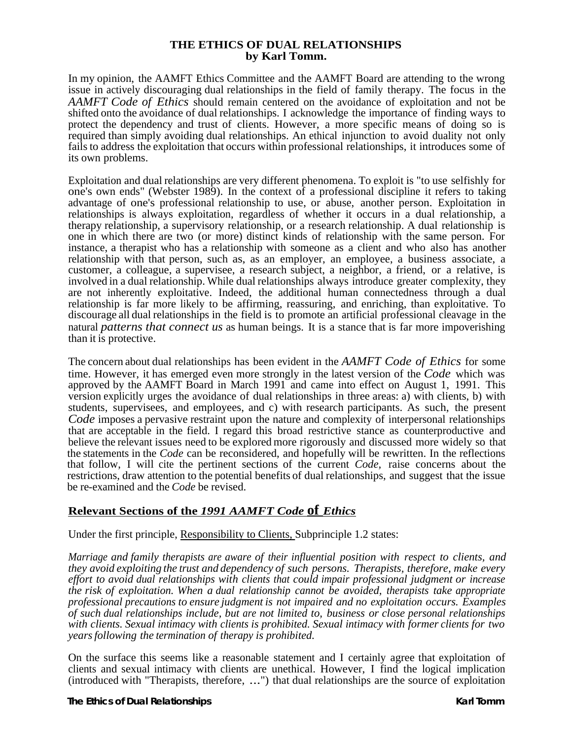### **THE ETHICS OF DUAL RELATIONSHIPS by Karl Tomm.**

In my opinion, the AAMFT Ethics Committee and the AAMFT Board are attending to the wrong issue in actively discouraging dual relationships in the field of family therapy. The focus in the *AAMFT Code of Ethics* should remain centered on the avoidance of exploitation and not be shifted onto the avoidance of dual relationships. I acknowledge the importance of finding ways to protect the dependency and trust of clients. However, a more specific means of doing so is required than simply avoiding dual relationships. An ethical injunction to avoid duality not only fails to address the exploitation that occurs within professional relationships, it introduces some of its own problems.

Exploitation and dual relationships are very different phenomena. To exploit is "to use selfishly for one's own ends" (Webster 1989). In the context of a professional discipline it refers to taking advantage of one's professional relationship to use, or abuse, another person. Exploitation in relationships is always exploitation, regardless of whether it occurs in a dual relationship, a therapy relationship, a supervisory relationship, or a research relationship. A dual relationship is one in which there are two (or more) distinct kinds of relationship with the same person. For instance, a therapist who has a relationship with someone as a client and who also has another relationship with that person, such as, as an employer, an employee, a business associate, a customer, a colleague, a supervisee, a research subject, a neighbor, a friend, or a relative, is involved in a dual relationship. While dual relationships always introduce greater complexity, they are not inherently exploitative. Indeed, the additional human connectedness through a dual relationship is far more likely to be affirming, reassuring, and enriching, than exploitative. To discourage all dual relationships in the field is to promote an artificial professional cleavage in the natural *patterns that connect us* as human beings. It is a stance that is far more impoverishing than it is protective.

The concern about dual relationships has been evident in the *AAMFT Code of Ethics* for some time. However, it has emerged even more strongly in the latest version of the *Code* which was approved by the AAMFT Board in March 1991 and came into effect on August 1, 1991. This version explicitly urges the avoidance of dual relationships in three areas: a) with clients, b) with students, supervisees, and employees, and c) with research participants. As such, the present *Code* imposes a pervasive restraint upon the nature and complexity of interpersonal relationships that are acceptable in the field. I regard this broad restrictive stance as counterproductive and believe the relevant issues need to be explored more rigorously and discussed more widely so that the statements in the *Code* can be reconsidered, and hopefully will be rewritten. In the reflections that follow, I will cite the pertinent sections of the current *Code,* raise concerns about the restrictions, draw attention to the potential benefits of dual relationships, and suggest that the issue be re-examined and the *Code* be revised.

## **Relevant Sections of the** *1991 AAMFT Code* **of** *Ethics*

Under the first principle, Responsibility to Clients, Subprinciple 1.2 states:

*Marriage and family therapists are aware of their influential position with respect to clients, and they avoid exploiting the trust and dependency of such persons. Therapists, therefore, make every effort to avoid dual relationships with clients that could impair professional judgment or increase the risk of exploitation. When a dual relationship cannot be avoided, therapists take appropriate professional precautions to ensure judgment is not impaired and no exploitation occurs. Examples of such dual relationships include, but are not limited to, business or close personal relationships with clients. Sexual intimacy with clients is prohibited. Sexual intimacy with former clients for two years following the termination of therapy is prohibited.*

On the surface this seems like a reasonable statement and I certainly agree that exploitation of clients and sexual intimacy with clients are unethical. However, I find the logical implication (introduced with "Therapists, therefore, ...") that dual relationships are the source of exploitation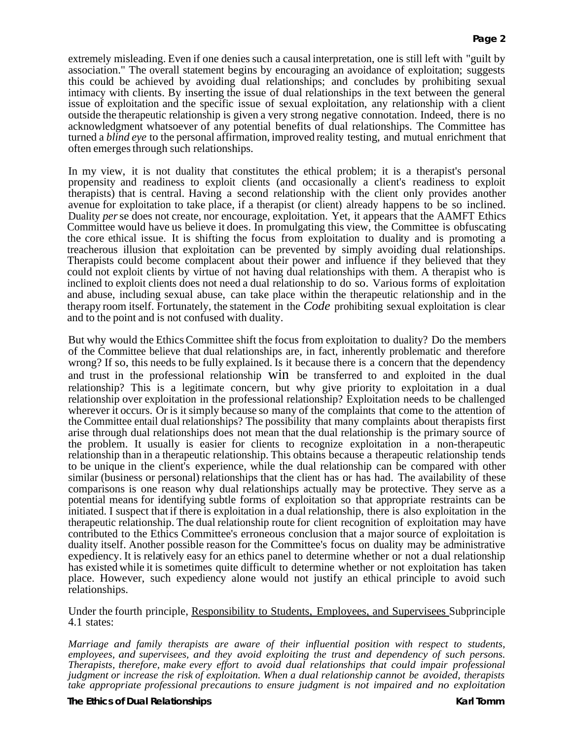extremely misleading. Even if one denies such a causal interpretation, one is still left with "guilt by association." The overall statement begins by encouraging an avoidance of exploitation; suggests this could be achieved by avoiding dual relationships; and concludes by prohibiting sexual intimacy with clients. By inserting the issue of dual relationships in the text between the general issue of exploitation and the specific issue of sexual exploitation, any relationship with a client outside the therapeutic relationship is given a very strong negative connotation. Indeed, there is no acknowledgment whatsoever of any potential benefits of dual relationships. The Committee has turned a *blind eye* to the personal affirmation, improved reality testing, and mutual enrichment that often emerges through such relationships.

In my view, it is not duality that constitutes the ethical problem; it is a therapist's personal propensity and readiness to exploit clients (and occasionally a client's readiness to exploit therapists) that is central. Having a second relationship with the client only provides another avenue for exploitation to take place, if a therapist (or client) already happens to be so inclined. Duality *per* se does not create, nor encourage, exploitation. Yet, it appears that the AAMFT Ethics Committee would have us believe it does. In promulgating this view, the Committee is obfuscating the core ethical issue. It is shifting the focus from exploitation to duality and is promoting a treacherous illusion that exploitation can be prevented by simply avoiding dual relationships. Therapists could become complacent about their power and influence if they believed that they could not exploit clients by virtue of not having dual relationships with them. A therapist who is inclined to exploit clients does not need a dual relationship to do so. Various forms of exploitation and abuse, including sexual abuse, can take place within the therapeutic relationship and in the therapy room itself. Fortunately, the statement in the *Code* prohibiting sexual exploitation is clear and to the point and is not confused with duality.

But why would the Ethics Committee shift the focus from exploitation to duality? Do the members of the Committee believe that dual relationships are, in fact, inherently problematic and therefore wrong? If so, this needs to be fully explained. Is it because there is a concern that the dependency and trust in the professional relationship win be transferred to and exploited in the dual relationship? This is a legitimate concern, but why give priority to exploitation in a dual relationship over exploitation in the professional relationship? Exploitation needs to be challenged wherever it occurs. Or is it simply because so many of the complaints that come to the attention of the Committee entail dual relationships? The possibility that many complaints about therapists first arise through dual relationships does not mean that the dual relationship is the primary source of the problem. It usually is easier for clients to recognize exploitation in a non-therapeutic relationship than in a therapeutic relationship. This obtains because a therapeutic relationship tends to be unique in the client's experience, while the dual relationship can be compared with other similar (business or personal) relationships that the client has or has had. The availability of these comparisons is one reason why dual relationships actually may be protective. They serve as a potential means for identifying subtle forms of exploitation so that appropriate restraints can be initiated. I suspect that if there is exploitation in a dual relationship, there is also exploitation in the therapeutic relationship. The dual relationship route for client recognition of exploitation may have contributed to the Ethics Committee's erroneous conclusion that a major source of exploitation is duality itself. Another possible reason for the Committee's focus on duality may be administrative expediency. It is relatively easy for an ethics panel to determine whether or not a dual relationship has existed while it is sometimes quite difficult to determine whether or not exploitation has taken place. However, such expediency alone would not justify an ethical principle to avoid such relationships.

Under the fourth principle, Responsibility to Students, Employees, and Supervisees Subprinciple 4.1 states:

*Marriage and family therapists are aware of their influential position with respect to students, employees, and supervisees, and they avoid exploiting the trust and dependency of such persons. Therapists, therefore, make every effort to avoid dual relationships that could impair professional judgment or increase the risk of exploitation. When a dual relationship cannot be avoided, therapists take appropriate professional precautions to ensure judgment is not impaired and no exploitation*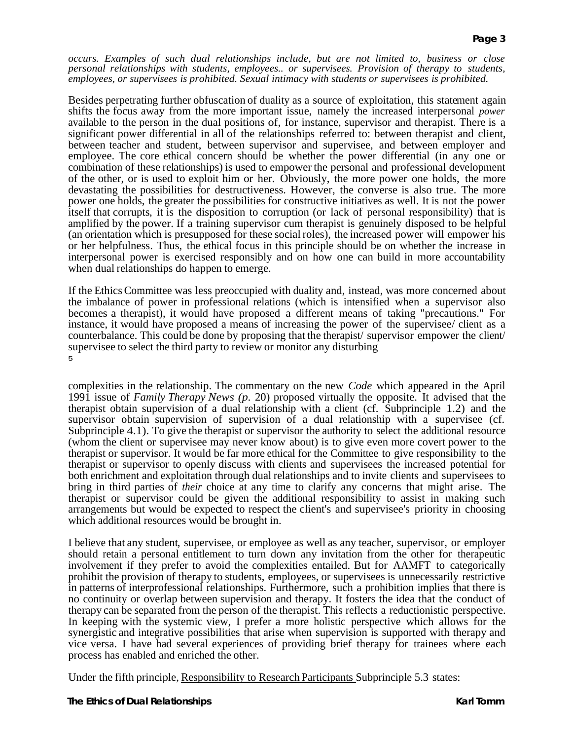*occurs. Examples of such dual relationships include, but are not limited to, business or close personal relationships with students, employees.. or supervisees. Provision of therapy to students, employees, or supervisees is prohibited. Sexual intimacy with students or supervisees is prohibited.*

Besides perpetrating further obfuscation of duality as a source of exploitation, this statement again shifts the focus away from the more important issue, namely the increased interpersonal *power* available to the person in the dual positions of, for instance, supervisor and therapist. There is a significant power differential in all of the relationships referred to: between therapist and client, between teacher and student, between supervisor and supervisee, and between employer and employee. The core ethical concern should be whether the power differential (in any one or combination of these relationships) is used to empower the personal and professional development of the other, or is used to exploit him or her. Obviously, the more power one holds, the more devastating the possibilities for destructiveness. However, the converse is also true. The more power one holds, the greater the possibilities for constructive initiatives as well. It is not the power itself that corrupts, it is the disposition to corruption (or lack of personal responsibility) that is amplified by the power. If a training supervisor cum therapist is genuinely disposed to be helpful (an orientation which is presupposed for these social roles), the increased power will empower his or her helpfulness. Thus, the ethical focus in this principle should be on whether the increase in interpersonal power is exercised responsibly and on how one can build in more accountability when dual relationships do happen to emerge.

If the Ethics Committee was less preoccupied with duality and, instead, was more concerned about the imbalance of power in professional relations (which is intensified when a supervisor also becomes a therapist), it would have proposed a different means of taking "precautions." For instance, it would have proposed a means of increasing the power of the supervisee/ client as a counterbalance. This could be done by proposing that the therapist/ supervisor empower the client/ supervisee to select the third party to review or monitor any disturbing 5

complexities in the relationship. The commentary on the new *Code* which appeared in the April 1991 issue of *Family Therapy News (p.* 20) proposed virtually the opposite. It advised that the therapist obtain supervision of a dual relationship with a client (cf. Subprinciple 1.2) and the supervisor obtain supervision of supervision of a dual relationship with a supervisee (cf. Subprinciple 4.1). To give the therapist or supervisor the authority to select the additional resource (whom the client or supervisee may never know about) is to give even more covert power to the therapist or supervisor. It would be far more ethical for the Committee to give responsibility to the therapist or supervisor to openly discuss with clients and supervisees the increased potential for both enrichment and exploitation through dual relationships and to invite clients and supervisees to bring in third parties of *their* choice at any time to clarify any concerns that might arise. The therapist or supervisor could be given the additional responsibility to assist in making such arrangements but would be expected to respect the client's and supervisee's priority in choosing which additional resources would be brought in.

I believe that any student, supervisee, or employee as well as any teacher, supervisor, or employer should retain a personal entitlement to turn down any invitation from the other for therapeutic involvement if they prefer to avoid the complexities entailed. But for AAMFT to categorically prohibit the provision of therapy to students, employees, or supervisees is unnecessarily restrictive in patterns of interprofessional relationships. Furthermore, such a prohibition implies that there is no continuity or overlap between supervision and therapy. It fosters the idea that the conduct of therapy can be separated from the person of the therapist. This reflects a reductionistic perspective. In keeping with the systemic view, I prefer a more holistic perspective which allows for the synergistic and integrative possibilities that arise when supervision is supported with therapy and vice versa. I have had several experiences of providing brief therapy for trainees where each process has enabled and enriched the other.

Under the fifth principle, Responsibility to Research Participants Subprinciple 5.3 states: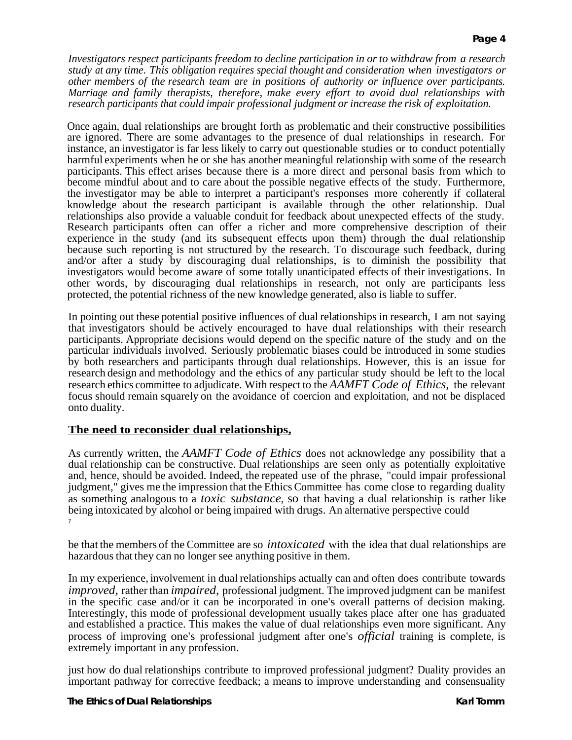*Investigators respect participants freedom to decline participation in or to withdraw from a research study at any time. This obligation requires special thought and consideration when investigators or other members of the research team are in positions of authority or influence over participants. Marriage and family therapists, therefore, make every effort to avoid dual relationships with research participants that could impair professional judgment or increase the risk of exploitation.*

Once again, dual relationships are brought forth as problematic and their constructive possibilities are ignored. There are some advantages to the presence of dual relationships in research. For instance, an investigator is far less likely to carry out questionable studies or to conduct potentially harmful experiments when he or she has another meaningful relationship with some of the research participants. This effect arises because there is a more direct and personal basis from which to become mindful about and to care about the possible negative effects of the study. Furthermore, the investigator may be able to interpret a participant's responses more coherently if collateral knowledge about the research participant is available through the other relationship. Dual relationships also provide a valuable conduit for feedback about unexpected effects of the study. Research participants often can offer a richer and more comprehensive description of their experience in the study (and its subsequent effects upon them) through the dual relationship because such reporting is not structured by the research. To discourage such feedback, during and/or after a study by discouraging dual relationships, is to diminish the possibility that investigators would become aware of some totally unanticipated effects of their investigations. In other words, by discouraging dual relationships in research, not only are participants less protected, the potential richness of the new knowledge generated, also is liable to suffer.

In pointing out these potential positive influences of dual relationships in research, I am not saying that investigators should be actively encouraged to have dual relationships with their research participants. Appropriate decisions would depend on the specific nature of the study and on the particular individuals involved. Seriously problematic biases could be introduced in some studies by both researchers and participants through dual relationships. However, this is an issue for research design and methodology and the ethics of any particular study should be left to the local research ethics committee to adjudicate. With respect to the *AAMFT Code of Ethics,* the relevant focus should remain squarely on the avoidance of coercion and exploitation, and not be displaced onto duality.

# **The need to reconsider dual relationships,**

As currently written, the *AAMFT Code of Ethics* does not acknowledge any possibility that a dual relationship can be constructive. Dual relationships are seen only as potentially exploitative and, hence, should be avoided. Indeed, the repeated use of the phrase, "could impair professional judgment," gives me the impression that the Ethics Committee has come close to regarding duality as something analogous to a *toxic substance*, so that having a dual relationship is rather like being intoxicated by alcohol or being impaired with drugs. An alternative perspective could 7

be that the members of the Committee are so *intoxicated* with the idea that dual relationships are hazardous that they can no longer see anything positive in them.

In my experience, involvement in dual relationships actually can and often does contribute towards *improved,* rather than *impaired,* professional judgment. The improved judgment can be manifest in the specific case and/or it can be incorporated in one's overall patterns of decision making. Interestingly, this mode of professional development usually takes place after one has graduated and established a practice. This makes the value of dual relationships even more significant. Any process of improving one's professional judgment after one's *official* training is complete, is extremely important in any profession.

just how do dual relationships contribute to improved professional judgment? Duality provides an important pathway for corrective feedback; a means to improve understanding and consensuality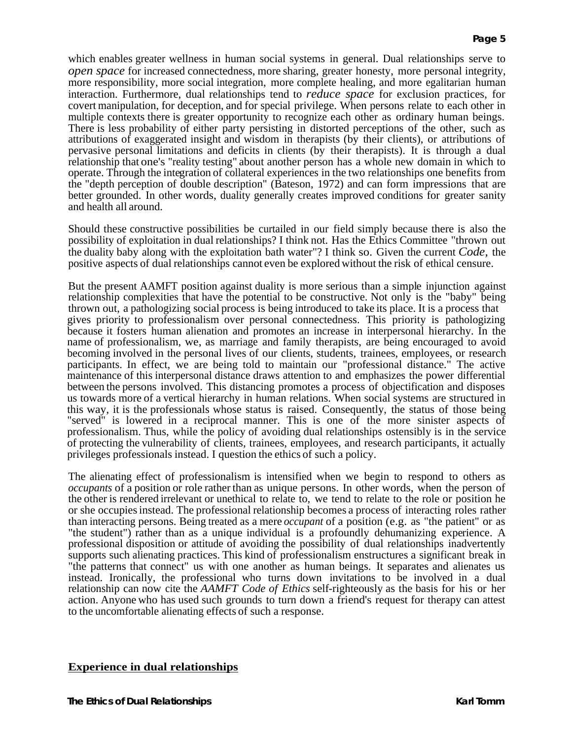which enables greater wellness in human social systems in general. Dual relationships serve to *open space* for increased connectedness, more sharing, greater honesty, more personal integrity, more responsibility, more social integration, more complete healing, and more egalitarian human interaction. Furthermore, dual relationships tend to *reduce space* for exclusion practices, for covert manipulation, for deception, and for special privilege. When persons relate to each other in multiple contexts there is greater opportunity to recognize each other as ordinary human beings. There is less probability of either party persisting in distorted perceptions of the other, such as attributions of exaggerated insight and wisdom in therapists (by their clients), or attributions of pervasive personal limitations and deficits in clients (by their therapists). It is through a dual relationship that one's "reality testing" about another person has a whole new domain in which to operate. Through the integration of collateral experiences in the two relationships one benefits from the "depth perception of double description" (Bateson, 1972) and can form impressions that are better grounded. In other words, duality generally creates improved conditions for greater sanity and health all around.

Should these constructive possibilities be curtailed in our field simply because there is also the possibility of exploitation in dual relationships? I think not. Has the Ethics Committee "thrown out the duality baby along with the exploitation bath water"? I think so. Given the current *Code,* the positive aspects of dual relationships cannot even be explored without the risk of ethical censure.

But the present AAMFT position against duality is more serious than a simple injunction against relationship complexities that have the potential to be constructive. Not only is the "baby" being thrown out, a pathologizing social process is being introduced to take its place. It is a process that gives priority to professionalism over personal connectedness. This priority is pathologizing because it fosters human alienation and promotes an increase in interpersonal hierarchy. In the name of professionalism, we, as marriage and family therapists, are being encouraged to avoid becoming involved in the personal lives of our clients, students, trainees, employees, or research participants. In effect, we are being told to maintain our "professional distance." The active maintenance of this interpersonal distance draws attention to and emphasizes the power differential between the persons involved. This distancing promotes a process of objectification and disposes us towards more of a vertical hierarchy in human relations. When social systems are structured in this way, it is the professionals whose status is raised. Consequently, the status of those being "served" is lowered in a reciprocal manner. This is one of the more sinister aspects of professionalism. Thus, while the policy of avoiding dual relationships ostensibly is in the service of protecting the vulnerability of clients, trainees, employees, and research participants, it actually privileges professionals instead. I question the ethics of such a policy.

The alienating effect of professionalism is intensified when we begin to respond to others as *occupants* of a position or role rather than as unique persons. In other words, when the person of the other is rendered irrelevant or unethical to relate to, we tend to relate to the role or position he or she occupies instead. The professional relationship becomes a process of interacting roles rather than interacting persons. Being treated as a mere *occupant* of a position (e.g. as "the patient" or as "the student") rather than as a unique individual is a profoundly dehumanizing experience. A professional disposition or attitude of avoiding the possibility of dual relationships inadvertently supports such alienating practices. This kind of professionalism enstructures a significant break in "the patterns that connect" us with one another as human beings. It separates and alienates us instead. Ironically, the professional who turns down invitations to be involved in a dual relationship can now cite the *AAMFT Code of Ethics* self-righteously as the basis for his or her action. Anyone who has used such grounds to turn down a friend's request for therapy can attest to the uncomfortable alienating effects of such a response.

## **Experience in dual relationships**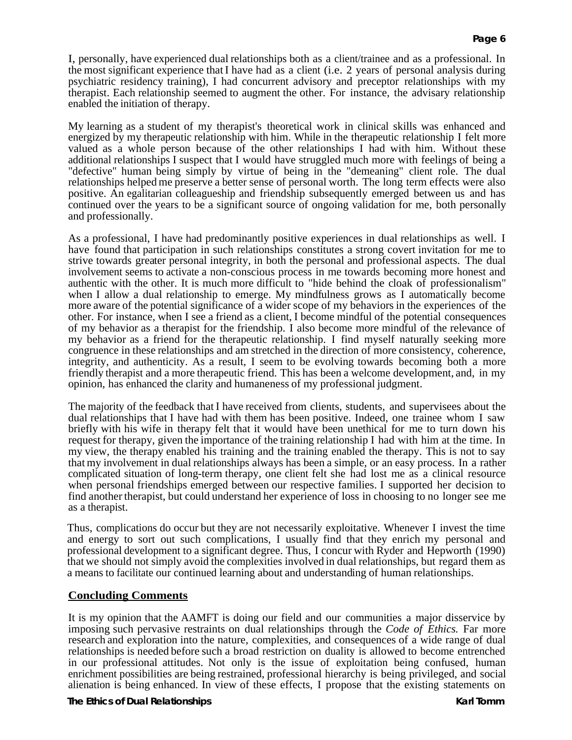I, personally, have experienced dual relationships both as a client/trainee and as a professional. In the most significant experience that I have had as a client (i.e. 2 years of personal analysis during psychiatric residency training), I had concurrent advisory and preceptor relationships with my therapist. Each relationship seemed to augment the other. For instance, the advisary relationship enabled the initiation of therapy.

My learning as a student of my therapist's theoretical work in clinical skills was enhanced and energized by my therapeutic relationship with him. While in the therapeutic relationship I felt more valued as a whole person because of the other relationships I had with him. Without these additional relationships I suspect that I would have struggled much more with feelings of being a "defective" human being simply by virtue of being in the "demeaning" client role. The dual relationships helped me preserve a better sense of personal worth. The long term effects were also positive. An egalitarian colleagueship and friendship subsequently emerged between us and has continued over the years to be a significant source of ongoing validation for me, both personally and professionally.

As a professional, I have had predominantly positive experiences in dual relationships as well. I have found that participation in such relationships constitutes a strong covert invitation for me to strive towards greater personal integrity, in both the personal and professional aspects. The dual involvement seems to activate a non-conscious process in me towards becoming more honest and authentic with the other. It is much more difficult to "hide behind the cloak of professionalism" when I allow a dual relationship to emerge. My mindfulness grows as I automatically become more aware of the potential significance of a wider scope of my behaviors in the experiences of the other. For instance, when I see a friend as a client, I become mindful of the potential consequences of my behavior as a therapist for the friendship. I also become more mindful of the relevance of my behavior as a friend for the therapeutic relationship. I find myself naturally seeking more congruence in these relationships and am stretched in the direction of more consistency, coherence, integrity, and authenticity. As a result, I seem to be evolving towards becoming both a more friendly therapist and a more therapeutic friend. This has been a welcome development, and, in my opinion, has enhanced the clarity and humaneness of my professional judgment.

The majority of the feedback that I have received from clients, students, and supervisees about the dual relationships that I have had with them has been positive. Indeed, one trainee whom I saw briefly with his wife in therapy felt that it would have been unethical for me to turn down his request for therapy, given the importance of the training relationship I had with him at the time. In my view, the therapy enabled his training and the training enabled the therapy. This is not to say that my involvement in dual relationships always has been a simple, or an easy process. In a rather complicated situation of long-term therapy, one client felt she had lost me as a clinical resource when personal friendships emerged between our respective families. I supported her decision to find another therapist, but could understand her experience of loss in choosing to no longer see me as a therapist.

Thus, complications do occur but they are not necessarily exploitative. Whenever I invest the time and energy to sort out such complications, I usually find that they enrich my personal and professional development to a significant degree. Thus, I concur with Ryder and Hepworth (1990) that we should not simply avoid the complexities involved in dual relationships, but regard them as a means to facilitate our continued learning about and understanding of human relationships.

# **Concluding Comments**

It is my opinion that the AAMFT is doing our field and our communities a major disservice by imposing such pervasive restraints on dual relationships through the *Code of Ethics.* Far more research and exploration into the nature, complexities, and consequences of a wide range of dual relationships is needed before such a broad restriction on duality is allowed to become entrenched in our professional attitudes. Not only is the issue of exploitation being confused, human enrichment possibilities are being restrained, professional hierarchy is being privileged, and social alienation is being enhanced. In view of these effects, I propose that the existing statements on